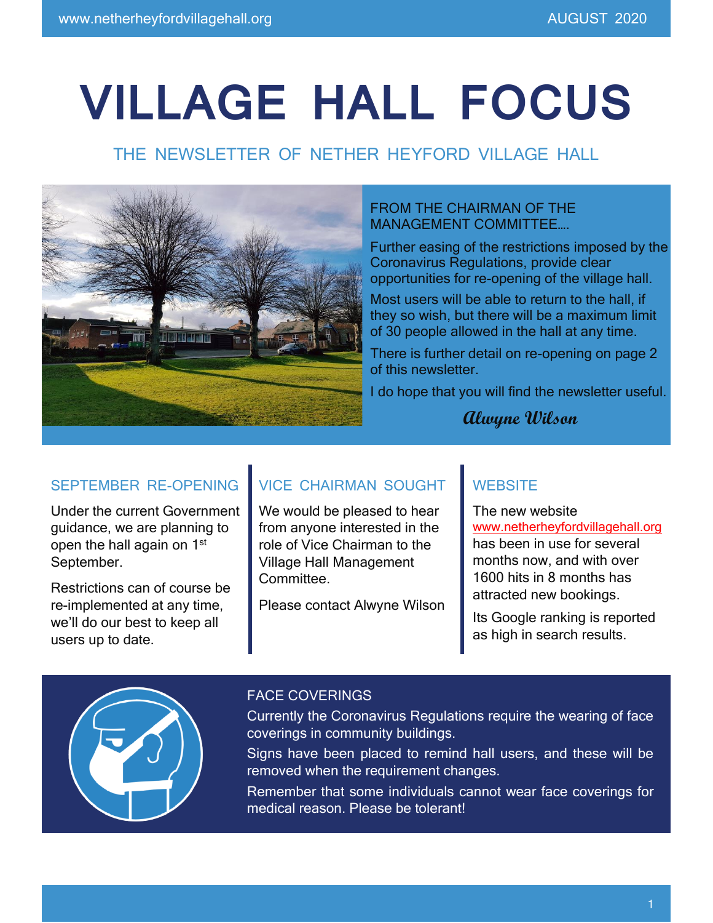# **VILLAGE HALL FOCUS**

# THE NEWSLETTER OF NETHER HEYFORD VILLAGE HALL



### FROM THE CHAIRMAN OF THE MANAGEMENT COMMITTEE….

Further easing of the restrictions imposed by the Coronavirus Regulations, provide clear opportunities for re-opening of the village hall.

Most users will be able to return to the hall, if they so wish, but there will be a maximum limit of 30 people allowed in the hall at any time.

There is further detail on re-opening on page 2 of this newsletter.

I do hope that you will find the newsletter useful.

**Alwyne Wilson**

## SEPTEMBER RE-OPENING

Under the current Government guidance, we are planning to open the hall again on 1st September.

Restrictions can of course be re-implemented at any time, we'll do our best to keep all users up to date.

## VICE CHAIRMAN SOUGHT

We would be pleased to hear from anyone interested in the role of Vice Chairman to the Village Hall Management Committee.

Please contact Alwyne Wilson

## **WEBSITE**

The new website [www.netherheyfordvillagehall.org](http://www.netherheyfordvillagehall.org/) has been in use for several months now, and with over 1600 hits in 8 months has attracted new bookings.

Its Google ranking is reported as high in search results.



### FACE COVERINGS

Currently the Coronavirus Regulations require the wearing of face coverings in community buildings.

Signs have been placed to remind hall users, and these will be removed when the requirement changes.

Remember that some individuals cannot wear face coverings for medical reason. Please be tolerant!